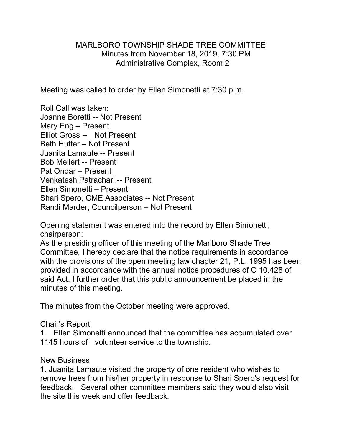### MARLBORO TOWNSHIP SHADE TREE COMMITTEE Minutes from November 18, 2019, 7:30 PM Administrative Complex, Room 2

Meeting was called to order by Ellen Simonetti at 7:30 p.m.

Roll Call was taken: Joanne Boretti -- Not Present Mary Eng – Present Elliot Gross -- Not Present Beth Hutter – Not Present Juanita Lamaute -- Present Bob Mellert -- Present Pat Ondar – Present Venkatesh Patrachari -- Present Ellen Simonetti – Present Shari Spero, CME Associates -- Not Present Randi Marder, Councilperson – Not Present

Opening statement was entered into the record by Ellen Simonetti, chairperson:

As the presiding officer of this meeting of the Marlboro Shade Tree Committee, I hereby declare that the notice requirements in accordance with the provisions of the open meeting law chapter 21, P.L. 1995 has been provided in accordance with the annual notice procedures of C 10.428 of said Act. I further order that this public announcement be placed in the minutes of this meeting.

The minutes from the October meeting were approved.

## Chair's Report

1. Ellen Simonetti announced that the committee has accumulated over 1145 hours of volunteer service to the township.

#### New Business

1. Juanita Lamaute visited the property of one resident who wishes to remove trees from his/her property in response to Shari Spero's request for feedback. Several other committee members said they would also visit the site this week and offer feedback.